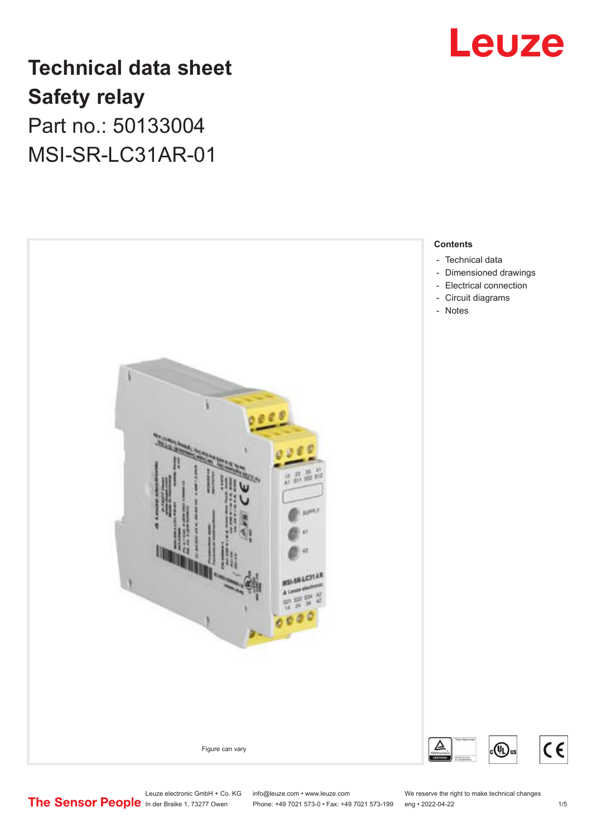

## **Technical data sheet Safety relay** Part no.: 50133004 MSI-SR-LC31AR-01



Leuze electronic GmbH + Co. KG info@leuze.com • www.leuze.com We reserve the right to make technical changes<br> **The Sensor People** in der Braike 1, 73277 Owen Phone: +49 7021 573-0 • Fax: +49 7021 573-199 eng • 2022-04-22

Phone: +49 7021 573-0 • Fax: +49 7021 573-199 eng • 2022-04-22 1 /5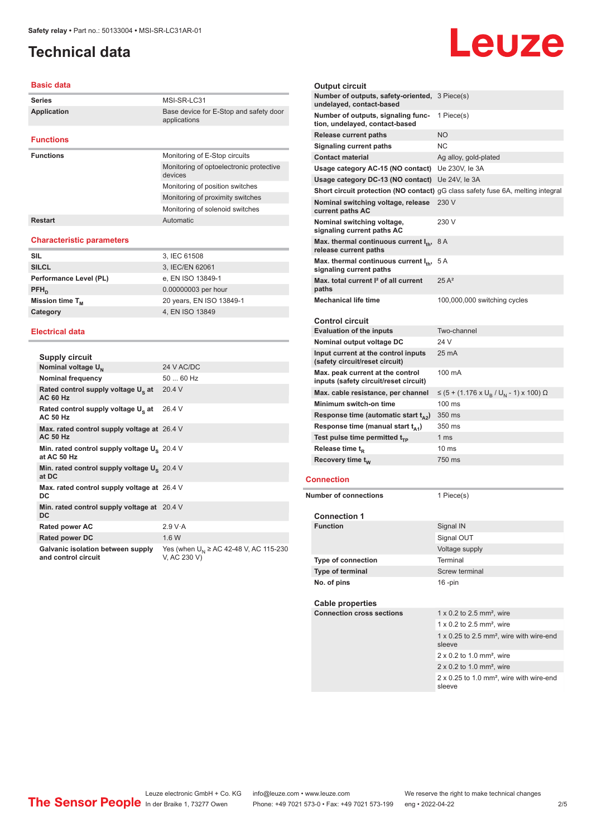## <span id="page-1-0"></span>**Technical data**

#### **Basic data**

| <b>Series</b>                    | MSI-SR-LC31                                            |
|----------------------------------|--------------------------------------------------------|
| <b>Application</b>               | Base device for E-Stop and safety door<br>applications |
| <b>Functions</b>                 |                                                        |
| <b>Functions</b>                 | Monitoring of E-Stop circuits                          |
|                                  | Monitoring of optoelectronic protective<br>devices     |
|                                  | Monitoring of position switches                        |
|                                  | Monitoring of proximity switches                       |
|                                  | Monitoring of solenoid switches                        |
| <b>Restart</b>                   | Automatic                                              |
| <b>Characteristic parameters</b> |                                                        |

#### **SIL** 3, IEC 61508 **SILCL** 3, IEC/EN 62061 Performance Level (PL) e, EN ISO 13849-1  $PFH<sub>D</sub>$ 0.00000003 per hour **Mission time T<sub>M</sub>** 20 years, EN ISO 13849-1 **Category 4, EN ISO 13849**

#### **Electrical data**

| Supply circuit                                                    |                                                            |
|-------------------------------------------------------------------|------------------------------------------------------------|
| Nominal voltage U <sub>N</sub>                                    | 24 V AC/DC                                                 |
| <b>Nominal frequency</b>                                          | $5060$ Hz                                                  |
| Rated control supply voltage U <sub>s</sub> at<br><b>AC 60 Hz</b> | 20.4V                                                      |
| Rated control supply voltage U <sub>s</sub> at<br><b>AC 50 Hz</b> | 264 V                                                      |
| Max. rated control supply voltage at 26.4 V<br><b>AC 50 Hz</b>    |                                                            |
| Min. rated control supply voltage $U_s$ 20.4 V<br>at AC 50 Hz     |                                                            |
| Min. rated control supply voltage U <sub>S</sub> 20.4 V<br>at DC  |                                                            |
| Max. rated control supply voltage at 26.4 V<br>DC                 |                                                            |
| Min. rated control supply voltage at 20.4 V<br>DC.                |                                                            |
| <b>Rated power AC</b>                                             | 2.9 V·A                                                    |
| <b>Rated power DC</b>                                             | 16W                                                        |
| Galvanic isolation between supply<br>and control circuit          | Yes (when $U_{N}$ ≥ AC 42-48 V, AC 115-230<br>V, AC 230 V) |

#### **Output circuit Number of outputs, safety-oriented,**  3 Piece(s) **undelayed, contact-based Number of outputs, signaling func-**1 Piece(s) **tion, undelayed, contact-based Release current paths** NO **Signaling current paths** NC **Contact material** Ag alloy, gold-plated **Usage category AC-15 (NO contact)** Ue 230V, Ie 3A **Usage category DC-13 (NO contact)** Ue 24V, Ie 3A **Short circuit protection (NO contact)** gG class safety fuse 6A, melting integral **Nominal switching voltage, release**  230 V **current paths AC Nominal switching voltage, signaling current paths AC** 230 V **Max. thermal continuous current I<sub>th</sub>, 8 A release current paths Max. thermal continuous current I<sub>th</sub>, 5 A signaling current paths Max. total current I² of all current paths** 25 A² **Mechanical life time** 100,000,000 switching cycles **Control circuit Evaluation of the inputs** Two-channel **Nominal output voltage DC** 24 V **Input current at the control inputs (safety circuit/reset circuit)** 25 mA **Max. peak current at the control inputs (safety circuit/reset circuit)** 100 mA Max. cable resistance, per channel , / U<sub>N</sub> - 1) x 100) Ω **Minimum switch-on time** 100 ms **Response time (automatic start**  $t_{A2}$ **) 350 ms Response time (manual start t<sub>A1</sub>)** 350 ms **Test pulse time permitted t<sub>TP</sub>** 1 ms **Release time t<sub>R</sub>** 10 ms **Recovery time t<sub>w</sub> 750 ms Connection Number of connections** 1 Piece(s) **Connection 1 Function** Signal IN Signal OUT Voltage supply **Type of connection** Terminal **Type of terminal** Screw terminal **No. of pins** 16 -pin **Cable properties Connection cross sections** 1 x 0.2 to 2.5 mm<sup>2</sup>, wire 1 x 0.2 to 2.5 mm<sup>2</sup> wire 1 x 0.25 to 2.5 mm², wire with wire-end sleeve 2 x 0.2 to 1.0 mm², wire 2 x 0.2 to 1.0 mm², wire

2 x 0.25 to 1.0 mm², wire with wire-end sleeve

Leuze

## Leuze electronic GmbH + Co. KG info@leuze.com • www.leuze.com We reserve the right to make technical changes<br>
The Sensor People in der Braike 1, 73277 Owen Phone: +49 7021 573-0 • Fax: +49 7021 573-199 eng • 2022-04-22

Phone: +49 7021 573-0 • Fax: +49 7021 573-199 eng • 2022-04-22 2 2/5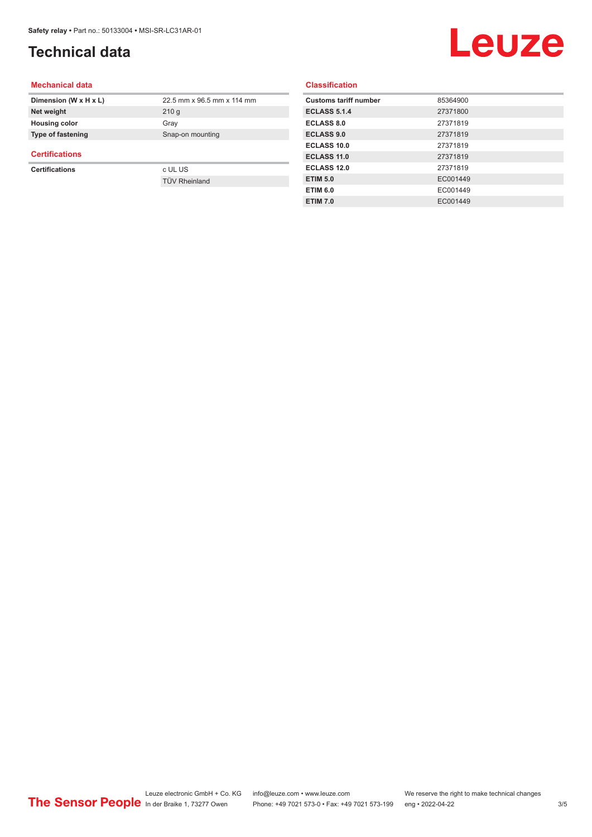## **Technical data**

## Leuze

#### **Mechanical data**

| Dimension (W x H x L)       | 22.5 mm x 96.5 mm x 114 mm |
|-----------------------------|----------------------------|
| Net weight                  | 210q                       |
| <b>Housing color</b>        | Gray                       |
| <b>Type of fastening</b>    | Snap-on mounting           |
| $O = 0.000$ and $O = 0.000$ |                            |

#### **Certifications**

**Certifications** c UL US

TÜV Rheinland

#### **Classification**

| 85364900 |
|----------|
| 27371800 |
| 27371819 |
| 27371819 |
| 27371819 |
| 27371819 |
| 27371819 |
| EC001449 |
| EC001449 |
| EC001449 |
|          |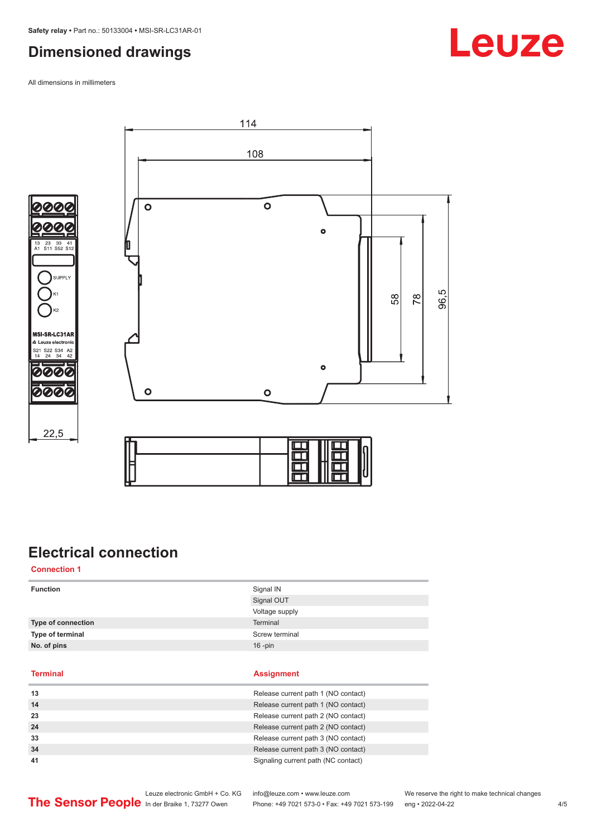## <span id="page-3-0"></span>**Dimensioned drawings**

All dimensions in millimeters





 $22,5$ 

| Ξ |  |  |
|---|--|--|

## **Electrical connection**

**Connection 1**

| <b>Function</b>    | Signal IN                           |  |
|--------------------|-------------------------------------|--|
|                    | Signal OUT                          |  |
|                    | Voltage supply                      |  |
| Type of connection | Terminal                            |  |
| Type of terminal   | Screw terminal                      |  |
| No. of pins        | $16$ -pin                           |  |
|                    |                                     |  |
|                    |                                     |  |
|                    |                                     |  |
| <b>Terminal</b>    | <b>Assignment</b>                   |  |
| 13                 | Release current path 1 (NO contact) |  |
| 14                 | Release current path 1 (NO contact) |  |
| 23                 | Release current path 2 (NO contact) |  |
| 24                 | Release current path 2 (NO contact) |  |
| 33                 | Release current path 3 (NO contact) |  |

**41** Signaling current path (NC contact)